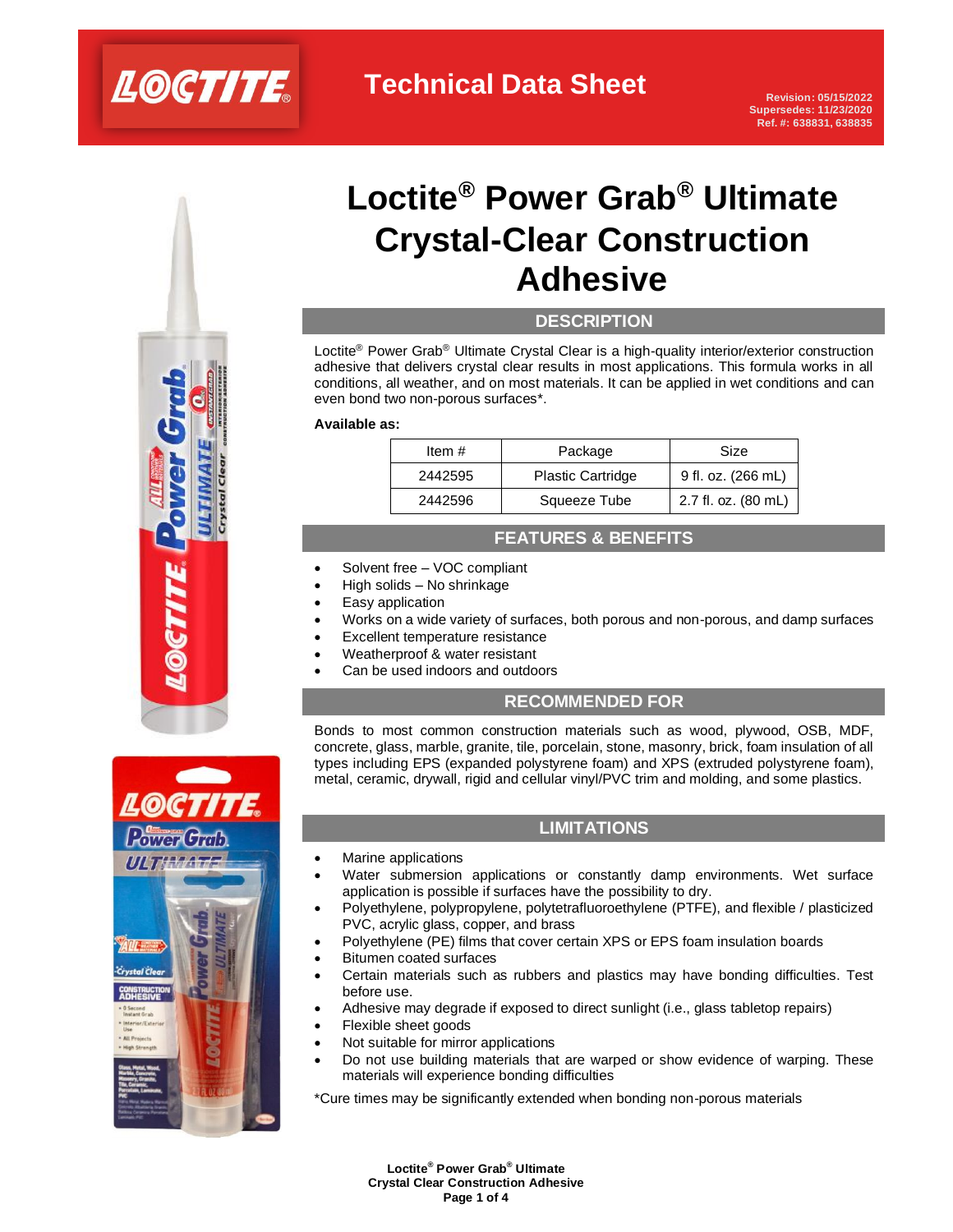

# **Loctite® Power Grab® Ultimate Crystal-Clear Construction Adhesive**

## **DESCRIPTION**

Loctite<sup>®</sup> Power Grab<sup>®</sup> Ultimate Crystal Clear is a high-quality interior/exterior construction adhesive that delivers crystal clear results in most applications. This formula works in all conditions, all weather, and on most materials. It can be applied in wet conditions and can even bond two non-porous surfaces\*.

#### **Available as:**

| Item $#$ | Package                  | Size                |  |
|----------|--------------------------|---------------------|--|
| 2442595  | <b>Plastic Cartridge</b> | 9 fl. oz. (266 mL)  |  |
| 2442596  | Squeeze Tube             | 2.7 fl. oz. (80 mL) |  |

## **FEATURES & BENEFITS**

- Solvent free VOC compliant
- High solids No shrinkage
- Easy application
- Works on a wide variety of surfaces, both porous and non-porous, and damp surfaces
- Excellent temperature resistance
- Weatherproof & water resistant
- Can be used indoors and outdoors

## **RECOMMENDED FOR**

Bonds to most common construction materials such as wood, plywood, OSB, MDF, concrete, glass, marble, granite, tile, porcelain, stone, masonry, brick, foam insulation of all types including EPS (expanded polystyrene foam) and XPS (extruded polystyrene foam), metal, ceramic, drywall, rigid and cellular vinyl/PVC trim and molding, and some plastics.



- Marine applications
- Water submersion applications or constantly damp environments. Wet surface application is possible if surfaces have the possibility to dry.
- Polyethylene, polypropylene, polytetrafluoroethylene (PTFE), and flexible / plasticized PVC, acrylic glass, copper, and brass
- Polyethylene (PE) films that cover certain XPS or EPS foam insulation boards
- Bitumen coated surfaces
- Certain materials such as rubbers and plastics may have bonding difficulties. Test before use.
- Adhesive may degrade if exposed to direct sunlight (i.e., glass tabletop repairs)
- Flexible sheet goods
- Not suitable for mirror applications
- Do not use building materials that are warped or show evidence of warping. These materials will experience bonding difficulties

\*Cure times may be significantly extended when bonding non-porous materials



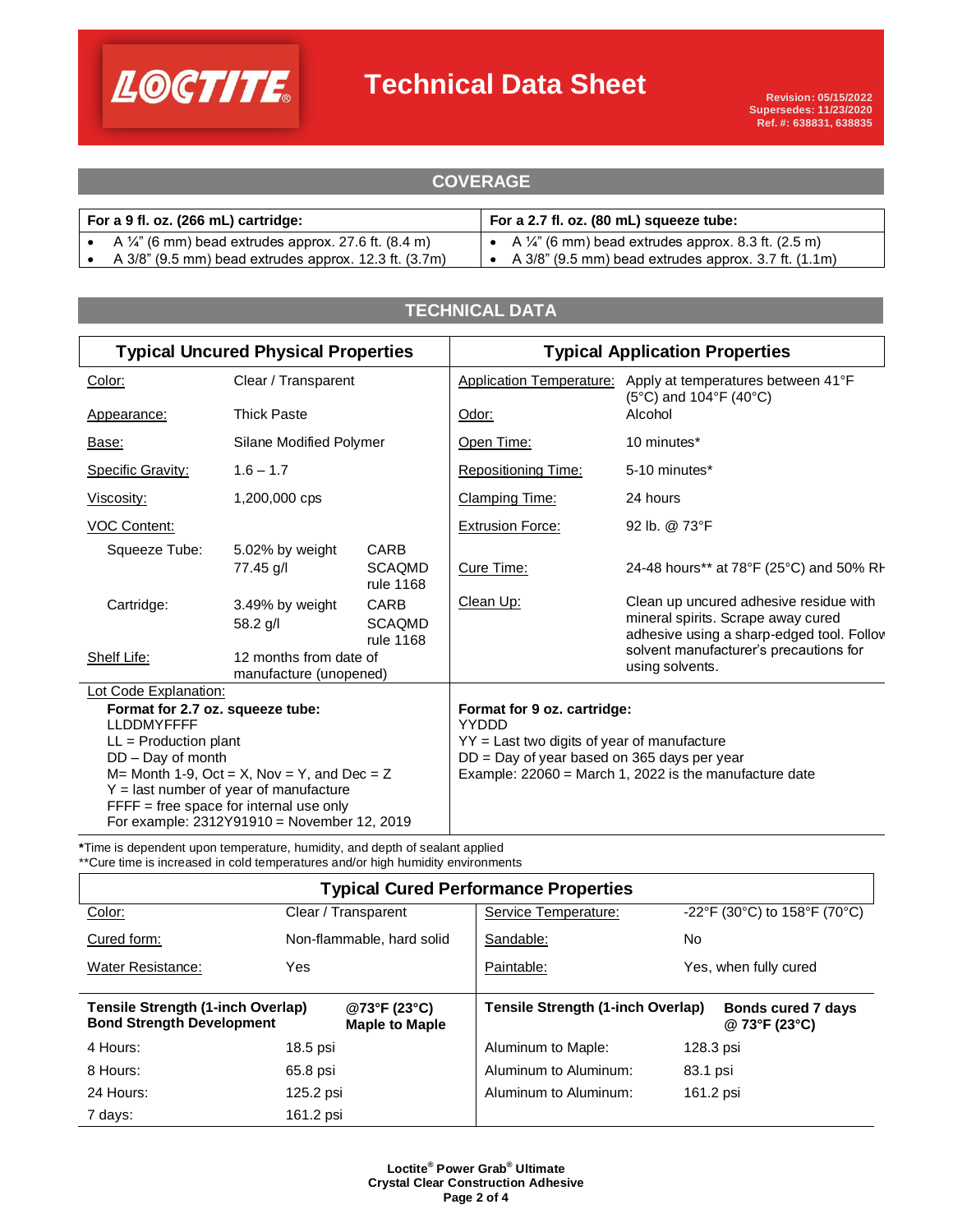

## **Technical Data Sheet**

| <b>COVERAGE</b>                                                   |                                                                  |  |  |  |
|-------------------------------------------------------------------|------------------------------------------------------------------|--|--|--|
|                                                                   |                                                                  |  |  |  |
| For a 9 fl. oz. (266 mL) cartridge:                               | For a 2.7 fl. oz. (80 mL) squeeze tube:                          |  |  |  |
| • A $\frac{1}{4}$ " (6 mm) bead extrudes approx. 27.6 ft. (8.4 m) | • A $\frac{1}{4}$ " (6 mm) bead extrudes approx. 8.3 ft. (2.5 m) |  |  |  |
| A 3/8" (9.5 mm) bead extrudes approx. 12.3 ft. (3.7m)             | • A $3/8$ " (9.5 mm) bead extrudes approx. 3.7 ft. $(1.1m)$      |  |  |  |

**COVERAGE** 

## **TECHNICAL DATA**

| <b>Typical Uncured Physical Properties</b>            |                                                  | <b>Typical Application Properties</b>                    |                                             |                                                                                                                           |  |
|-------------------------------------------------------|--------------------------------------------------|----------------------------------------------------------|---------------------------------------------|---------------------------------------------------------------------------------------------------------------------------|--|
| Color:                                                | Clear / Transparent                              |                                                          |                                             | Application Temperature: Apply at temperatures between 41°F<br>$(5^{\circ}C)$ and 104 $^{\circ}F$ (40 $^{\circ}C$ )       |  |
| Appearance:                                           | <b>Thick Paste</b>                               |                                                          | Odor:                                       | Alcohol                                                                                                                   |  |
| Base:                                                 | Silane Modified Polymer                          |                                                          | Open Time:                                  | 10 minutes*                                                                                                               |  |
| <b>Specific Gravity:</b>                              | $1.6 - 1.7$                                      |                                                          | <b>Repositioning Time:</b>                  | 5-10 minutes*                                                                                                             |  |
| Viscosity:                                            | 1,200,000 cps                                    |                                                          | <b>Clamping Time:</b>                       | 24 hours                                                                                                                  |  |
| <b>VOC Content:</b>                                   |                                                  |                                                          | <b>Extrusion Force:</b>                     | 92 lb. @ 73°F                                                                                                             |  |
| Squeeze Tube:                                         | 5.02% by weight<br>77.45 g/l                     | CARB<br><b>SCAQMD</b><br>rule 1168                       | Cure Time:                                  | 24-48 hours** at 78°F (25°C) and 50% RH                                                                                   |  |
| Cartridge:                                            | 3.49% by weight<br>58.2 g/l                      | CARB<br><b>SCAQMD</b><br>rule 1168                       | Clean Up:                                   | Clean up uncured adhesive residue with<br>mineral spirits. Scrape away cured<br>adhesive using a sharp-edged tool. Follov |  |
| Shelf Life:                                           | 12 months from date of<br>manufacture (unopened) |                                                          |                                             | solvent manufacturer's precautions for<br>using solvents.                                                                 |  |
| Lot Code Explanation:                                 |                                                  |                                                          |                                             |                                                                                                                           |  |
| Format for 2.7 oz. squeeze tube:<br><b>LLDDMYFFFF</b> |                                                  | Format for 9 oz. cartridge:<br>YYDDD                     |                                             |                                                                                                                           |  |
| $LL =$ Production plant                               |                                                  |                                                          | YY = Last two digits of year of manufacture |                                                                                                                           |  |
| DD - Day of month                                     |                                                  | DD = Day of year based on 365 days per year              |                                             |                                                                                                                           |  |
| $M=$ Month 1-9, Oct = X, Nov = Y, and Dec = Z         |                                                  | Example: $22060 =$ March 1, 2022 is the manufacture date |                                             |                                                                                                                           |  |
| $Y =$ last number of year of manufacture              |                                                  |                                                          |                                             |                                                                                                                           |  |
| $FFFF = free space for internal use only$             |                                                  |                                                          |                                             |                                                                                                                           |  |
| For example: 2312Y91910 = November 12, 2019           |                                                  |                                                          |                                             |                                                                                                                           |  |

**\***Time is dependent upon temperature, humidity, and depth of sealant applied \*\*Cure time is increased in cold temperatures and/or high humidity environments

| <b>Typical Cured Performance Properties</b>                                                                    |                           |                                                                                 |                              |  |  |  |  |
|----------------------------------------------------------------------------------------------------------------|---------------------------|---------------------------------------------------------------------------------|------------------------------|--|--|--|--|
| Color:                                                                                                         | Clear / Transparent       | Service Temperature:                                                            | -22°F (30°C) to 158°F (70°C) |  |  |  |  |
| Cured form:                                                                                                    | Non-flammable, hard solid | Sandable:                                                                       | No.                          |  |  |  |  |
| <b>Water Resistance:</b>                                                                                       | Yes                       | Paintable:                                                                      | Yes, when fully cured        |  |  |  |  |
| Tensile Strength (1-inch Overlap)<br>@73°F (23°C)<br><b>Bond Strength Development</b><br><b>Maple to Maple</b> |                           | Tensile Strength (1-inch Overlap)<br><b>Bonds cured 7 days</b><br>@ 73°F (23°C) |                              |  |  |  |  |
| 4 Hours:                                                                                                       | $18.5$ psi                | Aluminum to Maple:                                                              | 128.3 psi                    |  |  |  |  |
| 8 Hours:                                                                                                       | 65.8 psi                  | Aluminum to Aluminum:                                                           | 83.1 psi                     |  |  |  |  |
| 24 Hours:                                                                                                      | 125.2 psi                 | Aluminum to Aluminum:                                                           | 161.2 psi                    |  |  |  |  |
| 7 days:                                                                                                        | 161.2 psi                 |                                                                                 |                              |  |  |  |  |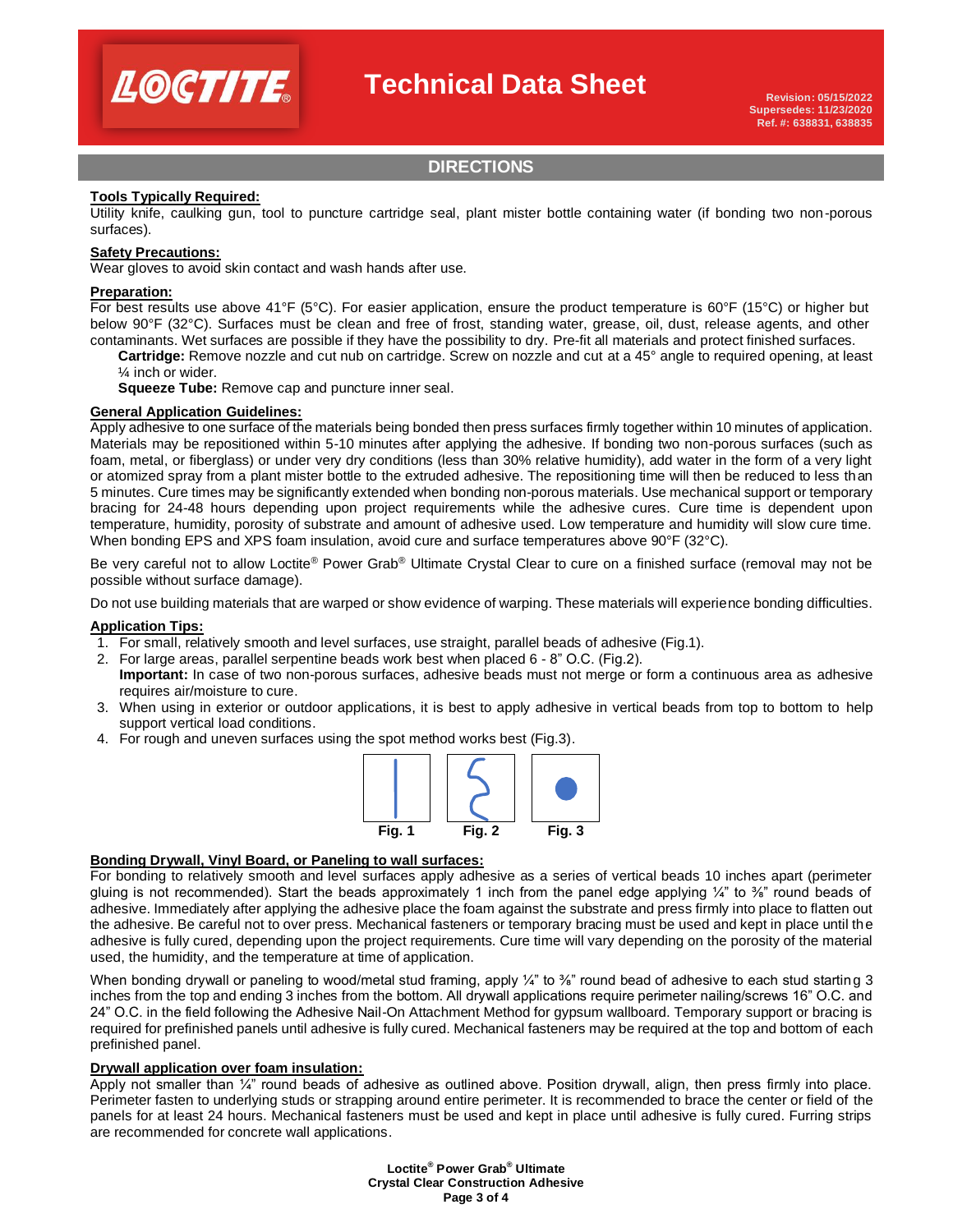

## **Technical Data Sheet**

## **DIRECTIONS**

#### **Tools Typically Required:**

Utility knife, caulking gun, tool to puncture cartridge seal, plant mister bottle containing water (if bonding two non-porous surfaces).

### **Safety Precautions:**

Wear gloves to avoid skin contact and wash hands after use.

#### **Preparation:**

For best results use above 41°F (5°C). For easier application, ensure the product temperature is 60°F (15°C) or higher but below 90°F (32°C). Surfaces must be clean and free of frost, standing water, grease, oil, dust, release agents, and other contaminants. Wet surfaces are possible if they have the possibility to dry. Pre-fit all materials and protect finished surfaces.

**Cartridge:** Remove nozzle and cut nub on cartridge. Screw on nozzle and cut at a 45° angle to required opening, at least ¼ inch or wider.

**Squeeze Tube:** Remove cap and puncture inner seal.

#### **General Application Guidelines:**

Apply adhesive to one surface of the materials being bonded then press surfaces firmly together within 10 minutes of application. Materials may be repositioned within 5-10 minutes after applying the adhesive. If bonding two non-porous surfaces (such as foam, metal, or fiberglass) or under very dry conditions (less than 30% relative humidity), add water in the form of a very light or atomized spray from a plant mister bottle to the extruded adhesive. The repositioning time will then be reduced to less than 5 minutes. Cure times may be significantly extended when bonding non-porous materials. Use mechanical support or temporary bracing for 24-48 hours depending upon project requirements while the adhesive cures. Cure time is dependent upon temperature, humidity, porosity of substrate and amount of adhesive used. Low temperature and humidity will slow cure time. When bonding EPS and XPS foam insulation, avoid cure and surface temperatures above 90°F (32°C).

Be very careful not to allow Loctite® Power Grab® Ultimate Crystal Clear to cure on a finished surface (removal may not be possible without surface damage).

Do not use building materials that are warped or show evidence of warping. These materials will experience bonding difficulties.

#### **Application Tips:**

- 1. For small, relatively smooth and level surfaces, use straight, parallel beads of adhesive (Fig.1).
- 2. For large areas, parallel serpentine beads work best when placed 6 8" O.C. (Fig.2).
- **Important:** In case of two non-porous surfaces, adhesive beads must not merge or form a continuous area as adhesive requires air/moisture to cure.
- 3. When using in exterior or outdoor applications, it is best to apply adhesive in vertical beads from top to bottom to help support vertical load conditions.
- 4. For rough and uneven surfaces using the spot method works best (Fig.3).



#### **Bonding Drywall, Vinyl Board, or Paneling to wall surfaces:**

For bonding to relatively smooth and level surfaces apply adhesive as a series of vertical beads 10 inches apart (perimeter gluing is not recommended). Start the beads approximately 1 inch from the panel edge applying ¼" to  $\frac{3}{4}$ " round beads of adhesive. Immediately after applying the adhesive place the foam against the substrate and press firmly into place to flatten out the adhesive. Be careful not to over press. Mechanical fasteners or temporary bracing must be used and kept in place until the adhesive is fully cured, depending upon the project requirements. Cure time will vary depending on the porosity of the material used, the humidity, and the temperature at time of application.

When bonding drywall or paneling to wood/metal stud framing, apply  $\frac{1}{4}$ " to  $\frac{2}{8}$ " round bead of adhesive to each stud starting 3 inches from the top and ending 3 inches from the bottom. All drywall applications require perimeter nailing/screws 16" O.C. and 24" O.C. in the field following the Adhesive Nail-On Attachment Method for gypsum wallboard. Temporary support or bracing is required for prefinished panels until adhesive is fully cured. Mechanical fasteners may be required at the top and bottom of each prefinished panel.

#### **Drywall application over foam insulation:**

Apply not smaller than ¼" round beads of adhesive as outlined above. Position drywall, align, then press firmly into place. Perimeter fasten to underlying studs or strapping around entire perimeter. It is recommended to brace the center or field of the panels for at least 24 hours. Mechanical fasteners must be used and kept in place until adhesive is fully cured. Furring strips are recommended for concrete wall applications.

> **Loctite® Power Grab® Ultimate Crystal Clear Construction Adhesive Page 3 of 4**